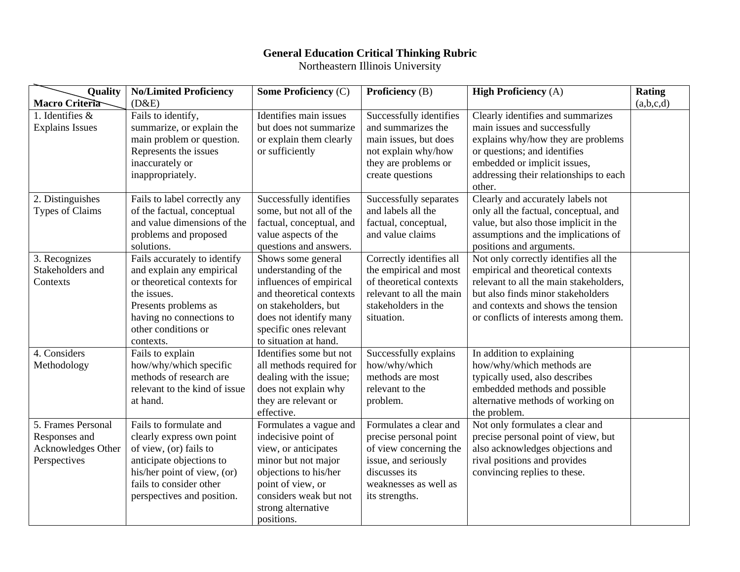## **General Education Critical Thinking Rubric**

Northeastern Illinois University

| Quality                | <b>No/Limited Proficiency</b> | <b>Some Proficiency (C)</b> | <b>Proficiency</b> (B)   | <b>High Proficiency (A)</b>            | <b>Rating</b> |
|------------------------|-------------------------------|-----------------------------|--------------------------|----------------------------------------|---------------|
| Macro Criteria         | (D&E)                         |                             |                          |                                        | (a,b,c,d)     |
| 1. Identifies $\&$     | Fails to identify,            | Identifies main issues      | Successfully identifies  | Clearly identifies and summarizes      |               |
| <b>Explains Issues</b> | summarize, or explain the     | but does not summarize      | and summarizes the       | main issues and successfully           |               |
|                        | main problem or question.     | or explain them clearly     | main issues, but does    | explains why/how they are problems     |               |
|                        | Represents the issues         | or sufficiently             | not explain why/how      | or questions; and identifies           |               |
|                        | inaccurately or               |                             | they are problems or     | embedded or implicit issues,           |               |
|                        | inappropriately.              |                             | create questions         | addressing their relationships to each |               |
|                        |                               |                             |                          | other.                                 |               |
| 2. Distinguishes       | Fails to label correctly any  | Successfully identifies     | Successfully separates   | Clearly and accurately labels not      |               |
| Types of Claims        | of the factual, conceptual    | some, but not all of the    | and labels all the       | only all the factual, conceptual, and  |               |
|                        | and value dimensions of the   | factual, conceptual, and    | factual, conceptual,     | value, but also those implicit in the  |               |
|                        | problems and proposed         | value aspects of the        | and value claims         | assumptions and the implications of    |               |
|                        | solutions.                    | questions and answers.      |                          | positions and arguments.               |               |
| 3. Recognizes          | Fails accurately to identify  | Shows some general          | Correctly identifies all | Not only correctly identifies all the  |               |
| Stakeholders and       | and explain any empirical     | understanding of the        | the empirical and most   | empirical and theoretical contexts     |               |
| Contexts               | or theoretical contexts for   | influences of empirical     | of theoretical contexts  | relevant to all the main stakeholders, |               |
|                        | the issues.                   | and theoretical contexts    | relevant to all the main | but also finds minor stakeholders      |               |
|                        | Presents problems as          | on stakeholders, but        | stakeholders in the      | and contexts and shows the tension     |               |
|                        | having no connections to      | does not identify many      | situation.               | or conflicts of interests among them.  |               |
|                        | other conditions or           | specific ones relevant      |                          |                                        |               |
|                        | contexts.                     | to situation at hand.       |                          |                                        |               |
| 4. Considers           | Fails to explain              | Identifies some but not     | Successfully explains    | In addition to explaining              |               |
| Methodology            | how/why/which specific        | all methods required for    | how/why/which            | how/why/which methods are              |               |
|                        | methods of research are       | dealing with the issue;     | methods are most         | typically used, also describes         |               |
|                        | relevant to the kind of issue | does not explain why        | relevant to the          | embedded methods and possible          |               |
|                        | at hand.                      | they are relevant or        | problem.                 | alternative methods of working on      |               |
|                        |                               | effective.                  |                          | the problem.                           |               |
| 5. Frames Personal     | Fails to formulate and        | Formulates a vague and      | Formulates a clear and   | Not only formulates a clear and        |               |
| Responses and          | clearly express own point     | indecisive point of         | precise personal point   | precise personal point of view, but    |               |
| Acknowledges Other     | of view, (or) fails to        | view, or anticipates        | of view concerning the   | also acknowledges objections and       |               |
| Perspectives           | anticipate objections to      | minor but not major         | issue, and seriously     | rival positions and provides           |               |
|                        | his/her point of view, (or)   | objections to his/her       | discusses its            | convincing replies to these.           |               |
|                        | fails to consider other       | point of view, or           | weaknesses as well as    |                                        |               |
|                        | perspectives and position.    | considers weak but not      | its strengths.           |                                        |               |
|                        |                               | strong alternative          |                          |                                        |               |
|                        |                               | positions.                  |                          |                                        |               |